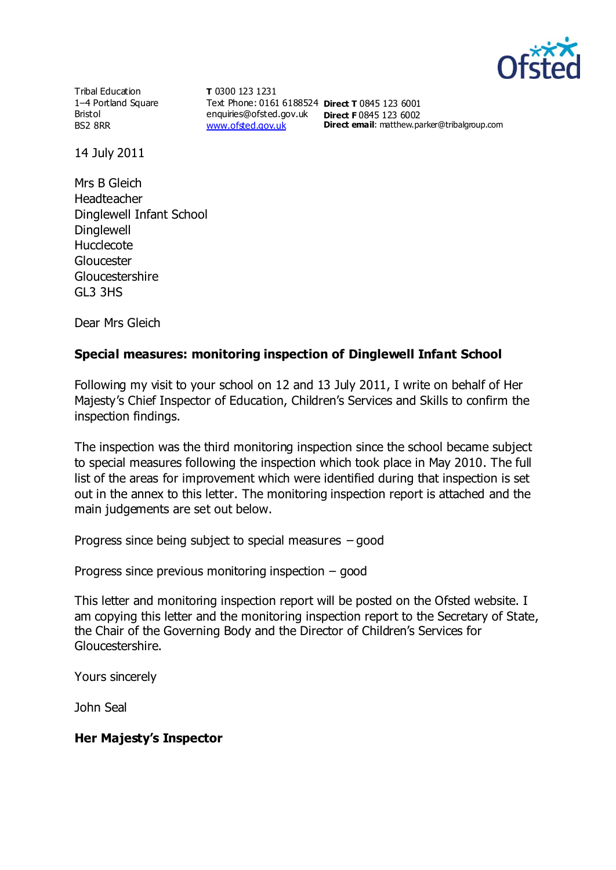

Tribal Education 1–4 Portland Square Bristol BS2 8RR

**T** 0300 123 1231 Text Phone: 0161 6188524 **Direct T** 0845 123 6001 enquiries@ofsted.gov.uk **Direct F** 0845 123 6002 [www.ofsted.gov.uk](http://www.ofsted.gov.uk/)

**Direct email**: matthew.parker@tribalgroup.com

14 July 2011

Mrs B Gleich Headteacher Dinglewell Infant School **Dinglewell** Hucclecote **Gloucester** Gloucestershire GL3 3HS

Dear Mrs Gleich

## **Special measures: monitoring inspection of Dinglewell Infant School**

Following my visit to your school on 12 and 13 July 2011, I write on behalf of Her Majesty's Chief Inspector of Education, Children's Services and Skills to confirm the inspection findings.

The inspection was the third monitoring inspection since the school became subject to special measures following the inspection which took place in May 2010. The full list of the areas for improvement which were identified during that inspection is set out in the annex to this letter. The monitoring inspection report is attached and the main judgements are set out below.

Progress since being subject to special measures – good

Progress since previous monitoring inspection – good

This letter and monitoring inspection report will be posted on the Ofsted website. I am copying this letter and the monitoring inspection report to the Secretary of State, the Chair of the Governing Body and the Director of Children's Services for Gloucestershire.

Yours sincerely

John Seal

### **Her Majesty's Inspector**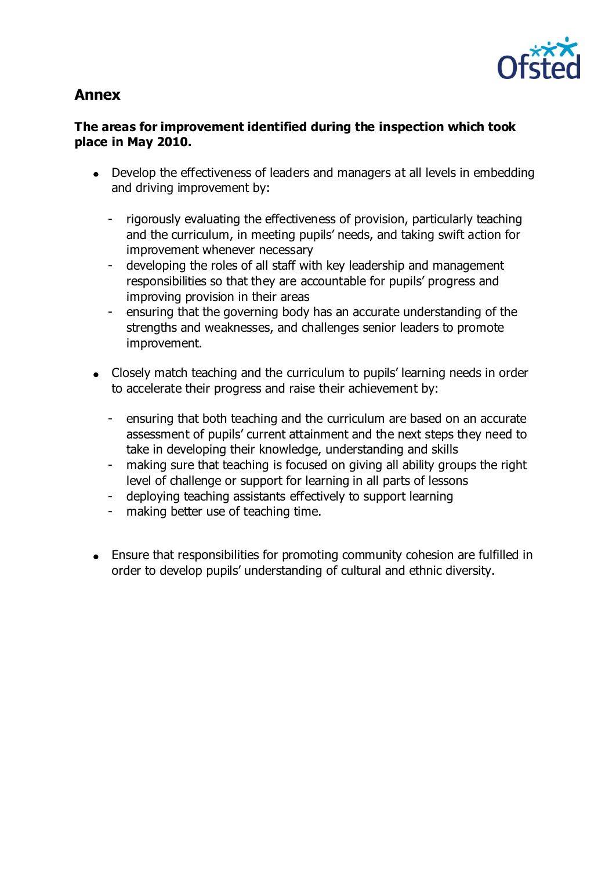

# **Annex**

## **The areas for improvement identified during the inspection which took place in May 2010.**

- Develop the effectiveness of leaders and managers at all levels in embedding and driving improvement by:
	- rigorously evaluating the effectiveness of provision, particularly teaching and the curriculum, in meeting pupils' needs, and taking swift action for improvement whenever necessary
	- developing the roles of all staff with key leadership and management responsibilities so that they are accountable for pupils' progress and improving provision in their areas
	- ensuring that the governing body has an accurate understanding of the strengths and weaknesses, and challenges senior leaders to promote improvement.
- Closely match teaching and the curriculum to pupils' learning needs in order to accelerate their progress and raise their achievement by:
	- ensuring that both teaching and the curriculum are based on an accurate assessment of pupils' current attainment and the next steps they need to take in developing their knowledge, understanding and skills
	- making sure that teaching is focused on giving all ability groups the right level of challenge or support for learning in all parts of lessons
	- deploying teaching assistants effectively to support learning
	- making better use of teaching time.
- Ensure that responsibilities for promoting community cohesion are fulfilled in order to develop pupils' understanding of cultural and ethnic diversity.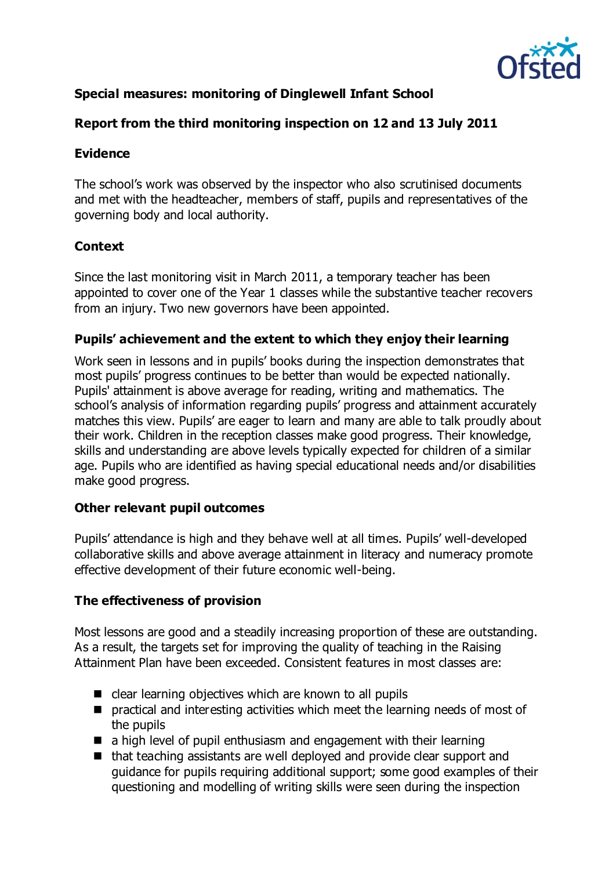

## **Special measures: monitoring of Dinglewell Infant School**

## **Report from the third monitoring inspection on 12 and 13 July 2011**

## **Evidence**

The school's work was observed by the inspector who also scrutinised documents and met with the headteacher, members of staff, pupils and representatives of the governing body and local authority.

## **Context**

Since the last monitoring visit in March 2011, a temporary teacher has been appointed to cover one of the Year 1 classes while the substantive teacher recovers from an injury. Two new governors have been appointed.

### **Pupils' achievement and the extent to which they enjoy their learning**

Work seen in lessons and in pupils' books during the inspection demonstrates that most pupils' progress continues to be better than would be expected nationally. Pupils' attainment is above average for reading, writing and mathematics. The school's analysis of information regarding pupils' progress and attainment accurately matches this view. Pupils' are eager to learn and many are able to talk proudly about their work. Children in the reception classes make good progress. Their knowledge, skills and understanding are above levels typically expected for children of a similar age. Pupils who are identified as having special educational needs and/or disabilities make good progress.

### **Other relevant pupil outcomes**

Pupils' attendance is high and they behave well at all times. Pupils' well-developed collaborative skills and above average attainment in literacy and numeracy promote effective development of their future economic well-being.

### **The effectiveness of provision**

Most lessons are good and a steadily increasing proportion of these are outstanding. As a result, the targets set for improving the quality of teaching in the Raising Attainment Plan have been exceeded. Consistent features in most classes are:

- $\blacksquare$  clear learning objectives which are known to all pupils
- **P** practical and interesting activities which meet the learning needs of most of the pupils
- a high level of pupil enthusiasm and engagement with their learning
- $\blacksquare$  that teaching assistants are well deployed and provide clear support and guidance for pupils requiring additional support; some good examples of their questioning and modelling of writing skills were seen during the inspection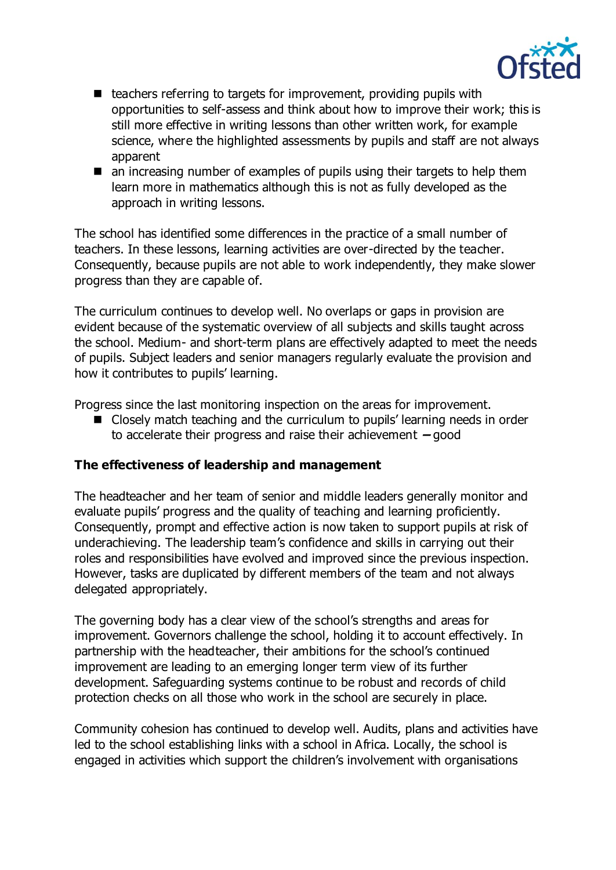

- $\blacksquare$  teachers referring to targets for improvement, providing pupils with opportunities to self-assess and think about how to improve their work; this is still more effective in writing lessons than other written work, for example science, where the highlighted assessments by pupils and staff are not always apparent
- an increasing number of examples of pupils using their targets to help them learn more in mathematics although this is not as fully developed as the approach in writing lessons.

The school has identified some differences in the practice of a small number of teachers. In these lessons, learning activities are over-directed by the teacher. Consequently, because pupils are not able to work independently, they make slower progress than they are capable of.

The curriculum continues to develop well. No overlaps or gaps in provision are evident because of the systematic overview of all subjects and skills taught across the school. Medium- and short-term plans are effectively adapted to meet the needs of pupils. Subject leaders and senior managers regularly evaluate the provision and how it contributes to pupils' learning.

Progress since the last monitoring inspection on the areas for improvement.

■ Closely match teaching and the curriculum to pupils' learning needs in order to accelerate their progress and raise their achievement **–** good

### **The effectiveness of leadership and management**

The headteacher and her team of senior and middle leaders generally monitor and evaluate pupils' progress and the quality of teaching and learning proficiently. Consequently, prompt and effective action is now taken to support pupils at risk of underachieving. The leadership team's confidence and skills in carrying out their roles and responsibilities have evolved and improved since the previous inspection. However, tasks are duplicated by different members of the team and not always delegated appropriately.

The governing body has a clear view of the school's strengths and areas for improvement. Governors challenge the school, holding it to account effectively. In partnership with the headteacher, their ambitions for the school's continued improvement are leading to an emerging longer term view of its further development. Safeguarding systems continue to be robust and records of child protection checks on all those who work in the school are securely in place.

Community cohesion has continued to develop well. Audits, plans and activities have led to the school establishing links with a school in Africa. Locally, the school is engaged in activities which support the children's involvement with organisations